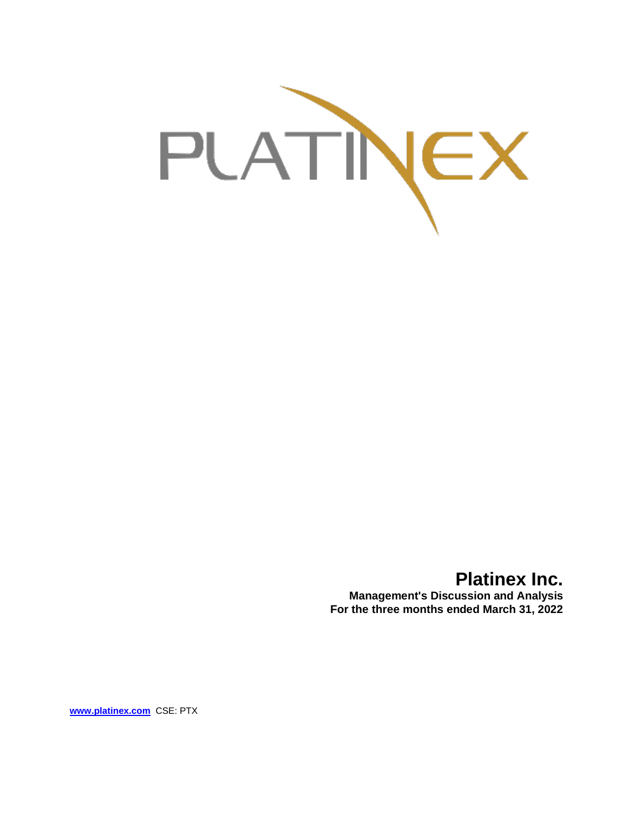

# **Platinex Inc.**

**Management's Discussion and Analysis For the three months ended March 31, 2022**

**[www.platinex.com](http://www.platinex.com/)** CSE: PTX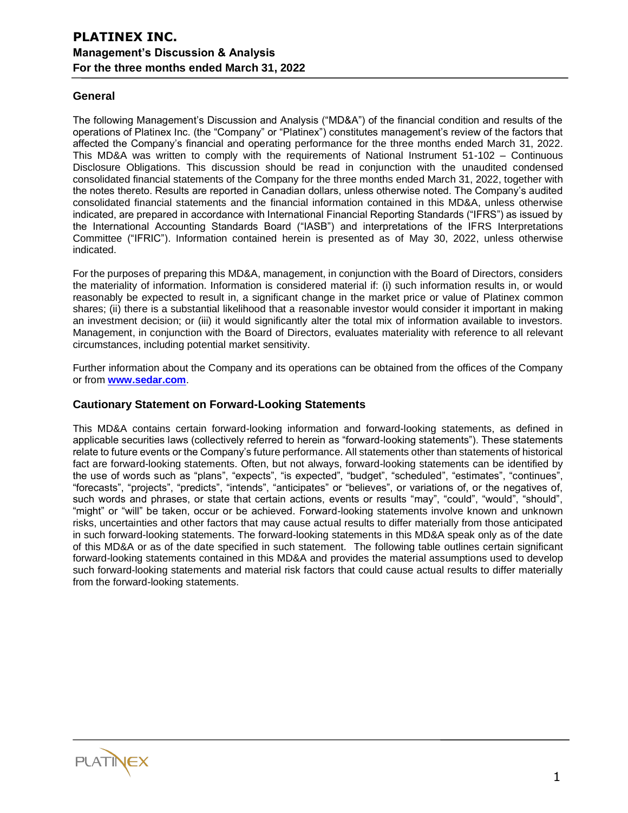### **General**

The following Management's Discussion and Analysis ("MD&A") of the financial condition and results of the operations of Platinex Inc. (the "Company" or "Platinex") constitutes management's review of the factors that affected the Company's financial and operating performance for the three months ended March 31, 2022. This MD&A was written to comply with the requirements of National Instrument 51-102 – Continuous Disclosure Obligations. This discussion should be read in conjunction with the unaudited condensed consolidated financial statements of the Company for the three months ended March 31, 2022, together with the notes thereto. Results are reported in Canadian dollars, unless otherwise noted. The Company's audited consolidated financial statements and the financial information contained in this MD&A, unless otherwise indicated, are prepared in accordance with International Financial Reporting Standards ("IFRS") as issued by the International Accounting Standards Board ("IASB") and interpretations of the IFRS Interpretations Committee ("IFRIC"). Information contained herein is presented as of May 30, 2022, unless otherwise indicated.

For the purposes of preparing this MD&A, management, in conjunction with the Board of Directors, considers the materiality of information. Information is considered material if: (i) such information results in, or would reasonably be expected to result in, a significant change in the market price or value of Platinex common shares; (ii) there is a substantial likelihood that a reasonable investor would consider it important in making an investment decision; or (iii) it would significantly alter the total mix of information available to investors. Management, in conjunction with the Board of Directors, evaluates materiality with reference to all relevant circumstances, including potential market sensitivity.

Further information about the Company and its operations can be obtained from the offices of the Company or from **[www.sedar.com](http://www.sedar.com/)**.

### **Cautionary Statement on Forward-Looking Statements**

This MD&A contains certain forward-looking information and forward-looking statements, as defined in applicable securities laws (collectively referred to herein as "forward-looking statements"). These statements relate to future events or the Company's future performance. All statements other than statements of historical fact are forward-looking statements. Often, but not always, forward-looking statements can be identified by the use of words such as "plans", "expects", "is expected", "budget", "scheduled", "estimates", "continues", "forecasts", "projects", "predicts", "intends", "anticipates" or "believes", or variations of, or the negatives of, such words and phrases, or state that certain actions, events or results "may", "could", "would", "should", "might" or "will" be taken, occur or be achieved. Forward-looking statements involve known and unknown risks, uncertainties and other factors that may cause actual results to differ materially from those anticipated in such forward-looking statements. The forward-looking statements in this MD&A speak only as of the date of this MD&A or as of the date specified in such statement. The following table outlines certain significant forward-looking statements contained in this MD&A and provides the material assumptions used to develop such forward-looking statements and material risk factors that could cause actual results to differ materially from the forward-looking statements.

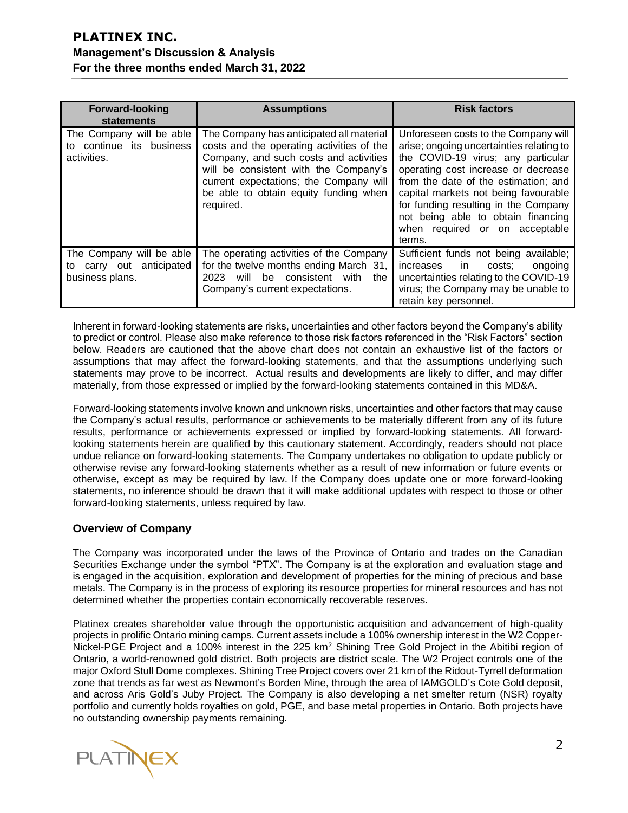| <b>Forward-looking</b>                                                     | <b>Assumptions</b>                                                                                                                                                                                                                                                       | <b>Risk factors</b>                                                                                                                                                                                                                                                                                                                                                     |  |  |
|----------------------------------------------------------------------------|--------------------------------------------------------------------------------------------------------------------------------------------------------------------------------------------------------------------------------------------------------------------------|-------------------------------------------------------------------------------------------------------------------------------------------------------------------------------------------------------------------------------------------------------------------------------------------------------------------------------------------------------------------------|--|--|
| statements                                                                 |                                                                                                                                                                                                                                                                          |                                                                                                                                                                                                                                                                                                                                                                         |  |  |
| The Company will be able<br>continue its business<br>tΟ<br>activities.     | The Company has anticipated all material<br>costs and the operating activities of the<br>Company, and such costs and activities<br>will be consistent with the Company's<br>current expectations; the Company will<br>be able to obtain equity funding when<br>required. | Unforeseen costs to the Company will<br>arise; ongoing uncertainties relating to<br>the COVID-19 virus; any particular<br>operating cost increase or decrease<br>from the date of the estimation; and<br>capital markets not being favourable<br>for funding resulting in the Company<br>not being able to obtain financing<br>when required or on acceptable<br>terms. |  |  |
| The Company will be able<br>carry out anticipated<br>to<br>business plans. | The operating activities of the Company<br>for the twelve months ending March 31,<br>consistent with<br>2023<br>will<br>be<br>the<br>Company's current expectations.                                                                                                     | Sufficient funds not being available;<br>increases<br>in<br>costs:<br>ongoing<br>uncertainties relating to the COVID-19<br>virus; the Company may be unable to<br>retain key personnel.                                                                                                                                                                                 |  |  |

Inherent in forward-looking statements are risks, uncertainties and other factors beyond the Company's ability to predict or control. Please also make reference to those risk factors referenced in the "Risk Factors" section below. Readers are cautioned that the above chart does not contain an exhaustive list of the factors or assumptions that may affect the forward-looking statements, and that the assumptions underlying such statements may prove to be incorrect. Actual results and developments are likely to differ, and may differ materially, from those expressed or implied by the forward-looking statements contained in this MD&A.

Forward-looking statements involve known and unknown risks, uncertainties and other factors that may cause the Company's actual results, performance or achievements to be materially different from any of its future results, performance or achievements expressed or implied by forward-looking statements. All forwardlooking statements herein are qualified by this cautionary statement. Accordingly, readers should not place undue reliance on forward-looking statements. The Company undertakes no obligation to update publicly or otherwise revise any forward-looking statements whether as a result of new information or future events or otherwise, except as may be required by law. If the Company does update one or more forward-looking statements, no inference should be drawn that it will make additional updates with respect to those or other forward-looking statements, unless required by law.

### **Overview of Company**

The Company was incorporated under the laws of the Province of Ontario and trades on the Canadian Securities Exchange under the symbol "PTX". The Company is at the exploration and evaluation stage and is engaged in the acquisition, exploration and development of properties for the mining of precious and base metals. The Company is in the process of exploring its resource properties for mineral resources and has not determined whether the properties contain economically recoverable reserves.

Platinex creates shareholder value through the opportunistic acquisition and advancement of high-quality projects in prolific Ontario mining camps. Current assets include a 100% ownership interest in the W2 Copper-Nickel-PGE Project and a 100% interest in the 225 km<sup>2</sup> Shining Tree Gold Project in the Abitibi region of Ontario, a world-renowned gold district. Both projects are district scale. The W2 Project controls one of the major Oxford Stull Dome complexes. Shining Tree Project covers over 21 km of the Ridout-Tyrrell deformation zone that trends as far west as Newmont's Borden Mine, through the area of IAMGOLD's Cote Gold deposit, and across Aris Gold's Juby Project. The Company is also developing a net smelter return (NSR) royalty portfolio and currently holds royalties on gold, PGE, and base metal properties in Ontario. Both projects have no outstanding ownership payments remaining.

**PLATINEX**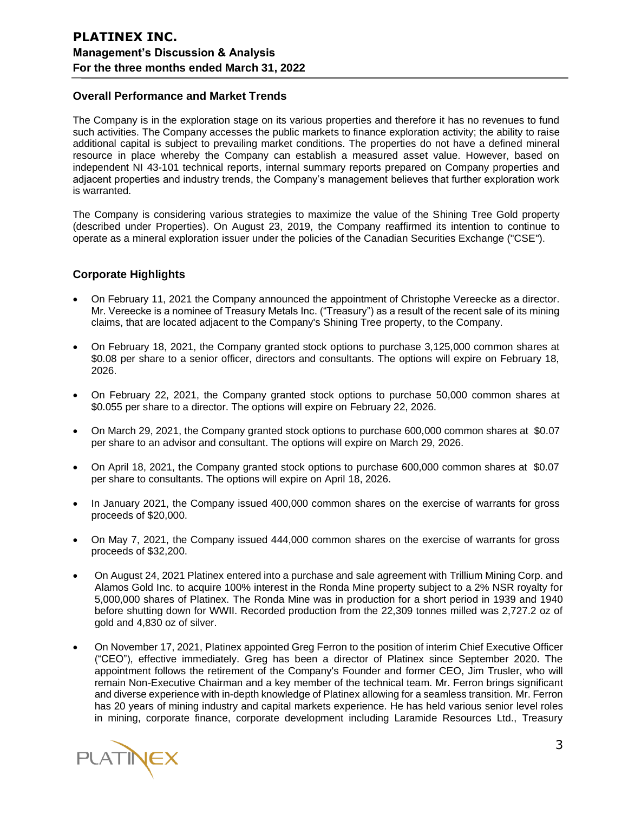### **Overall Performance and Market Trends**

The Company is in the exploration stage on its various properties and therefore it has no revenues to fund such activities. The Company accesses the public markets to finance exploration activity; the ability to raise additional capital is subject to prevailing market conditions. The properties do not have a defined mineral resource in place whereby the Company can establish a measured asset value. However, based on independent NI 43-101 technical reports, internal summary reports prepared on Company properties and adjacent properties and industry trends, the Company's management believes that further exploration work is warranted.

The Company is considering various strategies to maximize the value of the Shining Tree Gold property (described under Properties). On August 23, 2019, the Company reaffirmed its intention to continue to operate as a mineral exploration issuer under the policies of the Canadian Securities Exchange ("CSE").

### **Corporate Highlights**

- On February 11, 2021 the Company announced the appointment of Christophe Vereecke as a director. Mr. Vereecke is a nominee of Treasury Metals Inc. ("Treasury") as a result of the recent sale of its mining claims, that are located adjacent to the Company's Shining Tree property, to the Company.
- On February 18, 2021, the Company granted stock options to purchase 3,125,000 common shares at \$0.08 per share to a senior officer, directors and consultants. The options will expire on February 18, 2026.
- On February 22, 2021, the Company granted stock options to purchase 50,000 common shares at \$0.055 per share to a director. The options will expire on February 22, 2026.
- On March 29, 2021, the Company granted stock options to purchase 600,000 common shares at \$0.07 per share to an advisor and consultant. The options will expire on March 29, 2026.
- On April 18, 2021, the Company granted stock options to purchase 600,000 common shares at \$0.07 per share to consultants. The options will expire on April 18, 2026.
- In January 2021, the Company issued 400,000 common shares on the exercise of warrants for gross proceeds of \$20,000.
- On May 7, 2021, the Company issued 444,000 common shares on the exercise of warrants for gross proceeds of \$32,200.
- On August 24, 2021 Platinex entered into a purchase and sale agreement with Trillium Mining Corp. and Alamos Gold Inc. to acquire 100% interest in the Ronda Mine property subject to a 2% NSR royalty for 5,000,000 shares of Platinex. The Ronda Mine was in production for a short period in 1939 and 1940 before shutting down for WWII. Recorded production from the 22,309 tonnes milled was 2,727.2 oz of gold and 4,830 oz of silver.
- On November 17, 2021, Platinex appointed Greg Ferron to the position of interim Chief Executive Officer ("CEO"), effective immediately. Greg has been a director of Platinex since September 2020. The appointment follows the retirement of the Company's Founder and former CEO, Jim Trusler, who will remain Non-Executive Chairman and a key member of the technical team. Mr. Ferron brings significant and diverse experience with in-depth knowledge of Platinex allowing for a seamless transition. Mr. Ferron has 20 years of mining industry and capital markets experience. He has held various senior level roles in mining, corporate finance, corporate development including Laramide Resources Ltd., Treasury

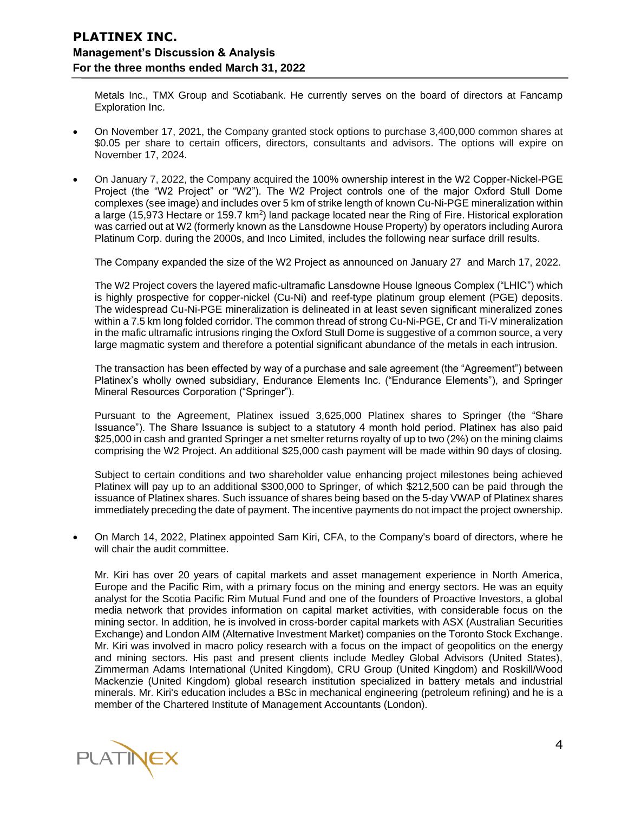Metals Inc., TMX Group and Scotiabank. He currently serves on the board of directors at Fancamp Exploration Inc.

- On November 17, 2021, the Company granted stock options to purchase 3,400,000 common shares at \$0.05 per share to certain officers, directors, consultants and advisors. The options will expire on November 17, 2024.
- On January 7, 2022, the Company acquired the 100% ownership interest in the W2 Copper-Nickel-PGE Project (the "W2 Project" or "W2"). The W2 Project controls one of the major Oxford Stull Dome complexes (see image) and includes over 5 km of strike length of known Cu-Ni-PGE mineralization within a large (15,973 Hectare or 159.7 km<sup>2</sup>) land package located near the Ring of Fire. Historical exploration was carried out at W2 (formerly known as the Lansdowne House Property) by operators including Aurora Platinum Corp. during the 2000s, and Inco Limited, includes the following near surface drill results.

The Company expanded the size of the W2 Project as announced on January 27 and March 17, 2022.

The W2 Project covers the layered mafic-ultramafic Lansdowne House Igneous Complex ("LHIC") which is highly prospective for copper-nickel (Cu-Ni) and reef-type platinum group element (PGE) deposits. The widespread Cu-Ni-PGE mineralization is delineated in at least seven significant mineralized zones within a 7.5 km long folded corridor. The common thread of strong Cu-Ni-PGE, Cr and Ti-V mineralization in the mafic ultramafic intrusions ringing the Oxford Stull Dome is suggestive of a common source, a very large magmatic system and therefore a potential significant abundance of the metals in each intrusion.

The transaction has been effected by way of a purchase and sale agreement (the "Agreement") between Platinex's wholly owned subsidiary, Endurance Elements Inc. ("Endurance Elements"), and Springer Mineral Resources Corporation ("Springer").

Pursuant to the Agreement, Platinex issued 3,625,000 Platinex shares to Springer (the "Share Issuance"). The Share Issuance is subject to a statutory 4 month hold period. Platinex has also paid \$25,000 in cash and granted Springer a net smelter returns royalty of up to two (2%) on the mining claims comprising the W2 Project. An additional \$25,000 cash payment will be made within 90 days of closing.

Subject to certain conditions and two shareholder value enhancing project milestones being achieved Platinex will pay up to an additional \$300,000 to Springer, of which \$212,500 can be paid through the issuance of Platinex shares. Such issuance of shares being based on the 5-day VWAP of Platinex shares immediately preceding the date of payment. The incentive payments do not impact the project ownership.

• On March 14, 2022, Platinex appointed Sam Kiri, CFA, to the Company's board of directors, where he will chair the audit committee.

Mr. Kiri has over 20 years of capital markets and asset management experience in North America, Europe and the Pacific Rim, with a primary focus on the mining and energy sectors. He was an equity analyst for the Scotia Pacific Rim Mutual Fund and one of the founders of Proactive Investors, a global media network that provides information on capital market activities, with considerable focus on the mining sector. In addition, he is involved in cross-border capital markets with ASX (Australian Securities Exchange) and London AIM (Alternative Investment Market) companies on the Toronto Stock Exchange. Mr. Kiri was involved in macro policy research with a focus on the impact of geopolitics on the energy and mining sectors. His past and present clients include Medley Global Advisors (United States), Zimmerman Adams International (United Kingdom), CRU Group (United Kingdom) and Roskill/Wood Mackenzie (United Kingdom) global research institution specialized in battery metals and industrial minerals. Mr. Kiri's education includes a BSc in mechanical engineering (petroleum refining) and he is a member of the Chartered Institute of Management Accountants (London).

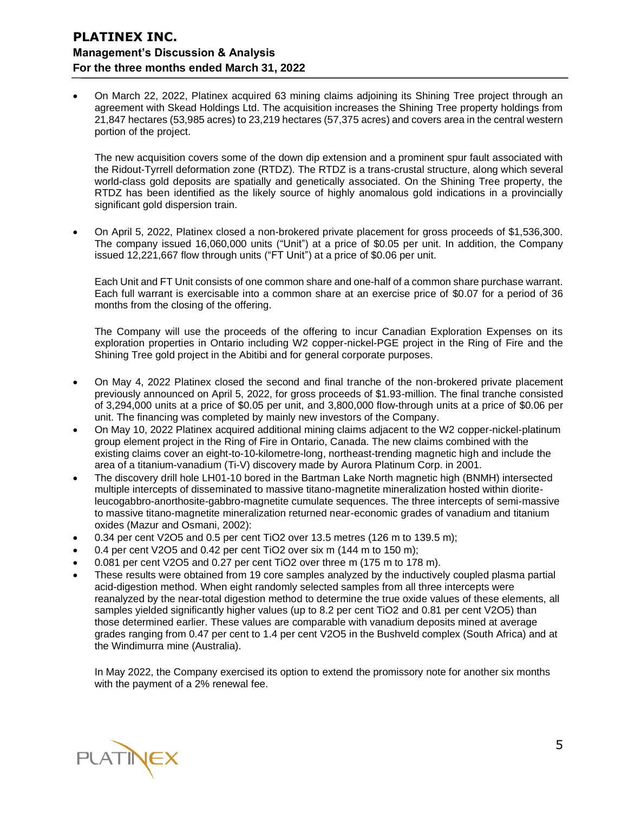• On March 22, 2022, Platinex acquired 63 mining claims adjoining its Shining Tree project through an agreement with Skead Holdings Ltd. The acquisition increases the Shining Tree property holdings from 21,847 hectares (53,985 acres) to 23,219 hectares (57,375 acres) and covers area in the central western portion of the project.

The new acquisition covers some of the down dip extension and a prominent spur fault associated with the Ridout-Tyrrell deformation zone (RTDZ). The RTDZ is a trans-crustal structure, along which several world-class gold deposits are spatially and genetically associated. On the Shining Tree property, the RTDZ has been identified as the likely source of highly anomalous gold indications in a provincially significant gold dispersion train.

• On April 5, 2022, Platinex closed a non-brokered private placement for gross proceeds of \$1,536,300. The company issued 16,060,000 units ("Unit") at a price of \$0.05 per unit. In addition, the Company issued 12,221,667 flow through units ("FT Unit") at a price of \$0.06 per unit.

Each Unit and FT Unit consists of one common share and one-half of a common share purchase warrant. Each full warrant is exercisable into a common share at an exercise price of \$0.07 for a period of 36 months from the closing of the offering.

The Company will use the proceeds of the offering to incur Canadian Exploration Expenses on its exploration properties in Ontario including W2 copper-nickel-PGE project in the Ring of Fire and the Shining Tree gold project in the Abitibi and for general corporate purposes.

- On May 4, 2022 Platinex closed the second and final tranche of the non-brokered private placement previously announced on April 5, 2022, for gross proceeds of \$1.93-million. The final tranche consisted of 3,294,000 units at a price of \$0.05 per unit, and 3,800,000 flow-through units at a price of \$0.06 per unit. The financing was completed by mainly new investors of the Company.
- On May 10, 2022 Platinex acquired additional mining claims adjacent to the W2 copper-nickel-platinum group element project in the Ring of Fire in Ontario, Canada. The new claims combined with the existing claims cover an eight-to-10-kilometre-long, northeast-trending magnetic high and include the area of a titanium-vanadium (Ti-V) discovery made by Aurora Platinum Corp. in 2001.
- The discovery drill hole LH01-10 bored in the Bartman Lake North magnetic high (BNMH) intersected multiple intercepts of disseminated to massive titano-magnetite mineralization hosted within dioriteleucogabbro-anorthosite-gabbro-magnetite cumulate sequences. The three intercepts of semi-massive to massive titano-magnetite mineralization returned near-economic grades of vanadium and titanium oxides (Mazur and Osmani, 2002):
- 0.34 per cent V2O5 and 0.5 per cent TiO2 over 13.5 metres (126 m to 139.5 m);
- 0.4 per cent V2O5 and 0.42 per cent TiO2 over six m (144 m to 150 m);
- 0.081 per cent V2O5 and 0.27 per cent TiO2 over three m (175 m to 178 m).
- These results were obtained from 19 core samples analyzed by the inductively coupled plasma partial acid-digestion method. When eight randomly selected samples from all three intercepts were reanalyzed by the near-total digestion method to determine the true oxide values of these elements, all samples yielded significantly higher values (up to 8.2 per cent TiO2 and 0.81 per cent V2O5) than those determined earlier. These values are comparable with vanadium deposits mined at average grades ranging from 0.47 per cent to 1.4 per cent V2O5 in the Bushveld complex (South Africa) and at the Windimurra mine (Australia).

In May 2022, the Company exercised its option to extend the promissory note for another six months with the payment of a 2% renewal fee.

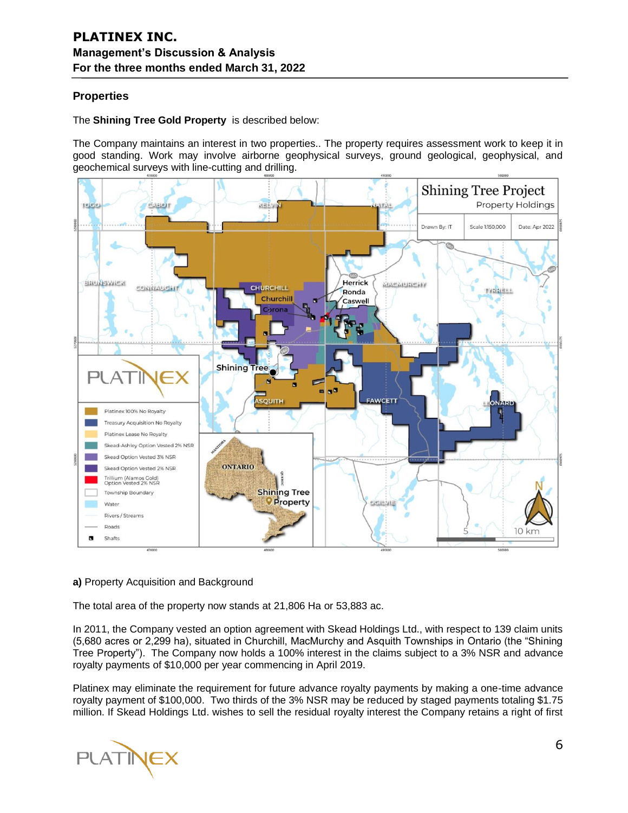## **Properties**

### The **Shining Tree Gold Property** is described below:

The Company maintains an interest in two properties.. The property requires assessment work to keep it in good standing. Work may involve airborne geophysical surveys, ground geological, geophysical, and geochemical surveys with line-cutting and drilling.



### **a)** Property Acquisition and Background

The total area of the property now stands at 21,806 Ha or 53,883 ac.

In 2011, the Company vested an option agreement with Skead Holdings Ltd., with respect to 139 claim units (5,680 acres or 2,299 ha), situated in Churchill, MacMurchy and Asquith Townships in Ontario (the "Shining Tree Property"). The Company now holds a 100% interest in the claims subject to a 3% NSR and advance royalty payments of \$10,000 per year commencing in April 2019.

Platinex may eliminate the requirement for future advance royalty payments by making a one-time advance royalty payment of \$100,000. Two thirds of the 3% NSR may be reduced by staged payments totaling \$1.75 million. If Skead Holdings Ltd. wishes to sell the residual royalty interest the Company retains a right of first

**PLATINEX**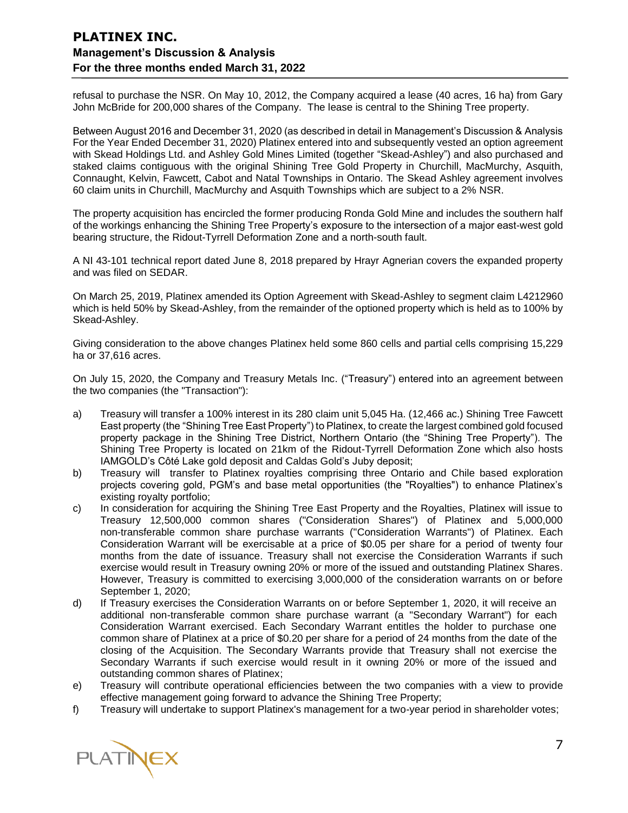refusal to purchase the NSR. On May 10, 2012, the Company acquired a lease (40 acres, 16 ha) from Gary John McBride for 200,000 shares of the Company. The lease is central to the Shining Tree property.

Between August 2016 and December 31, 2020 (as described in detail in Management's Discussion & Analysis For the Year Ended December 31, 2020) Platinex entered into and subsequently vested an option agreement with Skead Holdings Ltd. and Ashley Gold Mines Limited (together "Skead-Ashley") and also purchased and staked claims contiguous with the original Shining Tree Gold Property in Churchill, MacMurchy, Asquith, Connaught, Kelvin, Fawcett, Cabot and Natal Townships in Ontario. The Skead Ashley agreement involves 60 claim units in Churchill, MacMurchy and Asquith Townships which are subject to a 2% NSR.

The property acquisition has encircled the former producing Ronda Gold Mine and includes the southern half of the workings enhancing the Shining Tree Property's exposure to the intersection of a major east-west gold bearing structure, the Ridout-Tyrrell Deformation Zone and a north-south fault.

A NI 43-101 technical report dated June 8, 2018 prepared by Hrayr Agnerian covers the expanded property and was filed on SEDAR.

On March 25, 2019, Platinex amended its Option Agreement with Skead-Ashley to segment claim L4212960 which is held 50% by Skead-Ashley, from the remainder of the optioned property which is held as to 100% by Skead-Ashley.

Giving consideration to the above changes Platinex held some 860 cells and partial cells comprising 15,229 ha or 37,616 acres.

On July 15, 2020, the Company and Treasury Metals Inc. ("Treasury") entered into an agreement between the two companies (the "Transaction"):

- a) Treasury will transfer a 100% interest in its 280 claim unit 5,045 Ha. (12,466 ac.) Shining Tree Fawcett East property (the "Shining Tree East Property") to Platinex, to create the largest combined gold focused property package in the Shining Tree District, Northern Ontario (the "Shining Tree Property"). The Shining Tree Property is located on 21km of the Ridout-Tyrrell Deformation Zone which also hosts IAMGOLD's Côté Lake gold deposit and Caldas Gold's Juby deposit;
- b) Treasury will transfer to Platinex royalties comprising three Ontario and Chile based exploration projects covering gold, PGM's and base metal opportunities (the "Royalties") to enhance Platinex's existing royalty portfolio;
- c) In consideration for acquiring the Shining Tree East Property and the Royalties, Platinex will issue to Treasury 12,500,000 common shares ("Consideration Shares") of Platinex and 5,000,000 non-transferable common share purchase warrants ("Consideration Warrants") of Platinex. Each Consideration Warrant will be exercisable at a price of \$0.05 per share for a period of twenty four months from the date of issuance. Treasury shall not exercise the Consideration Warrants if such exercise would result in Treasury owning 20% or more of the issued and outstanding Platinex Shares. However, Treasury is committed to exercising 3,000,000 of the consideration warrants on or before September 1, 2020;
- d) If Treasury exercises the Consideration Warrants on or before September 1, 2020, it will receive an additional non-transferable common share purchase warrant (a "Secondary Warrant") for each Consideration Warrant exercised. Each Secondary Warrant entitles the holder to purchase one common share of Platinex at a price of \$0.20 per share for a period of 24 months from the date of the closing of the Acquisition. The Secondary Warrants provide that Treasury shall not exercise the Secondary Warrants if such exercise would result in it owning 20% or more of the issued and outstanding common shares of Platinex;
- e) Treasury will contribute operational efficiencies between the two companies with a view to provide effective management going forward to advance the Shining Tree Property;
- f) Treasury will undertake to support Platinex's management for a two-year period in shareholder votes;

PLATINEX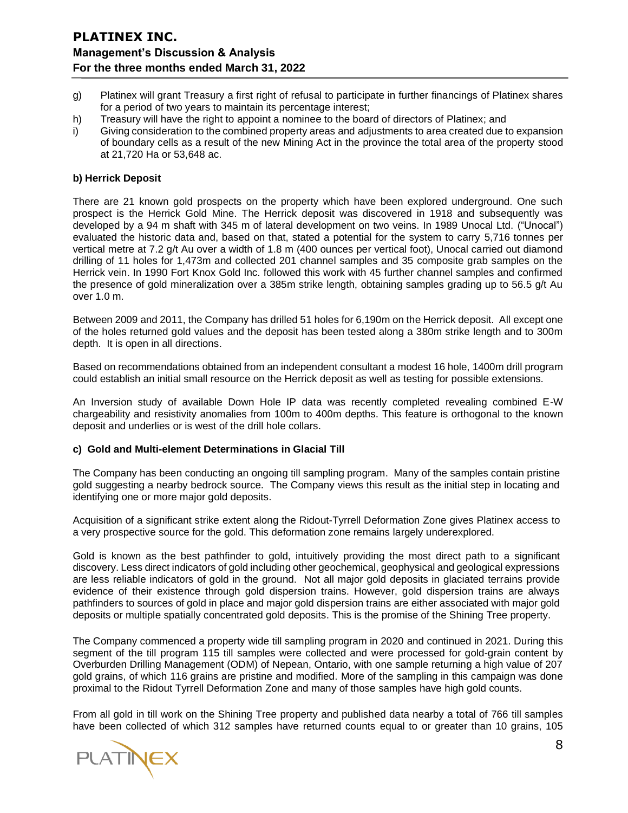- g) Platinex will grant Treasury a first right of refusal to participate in further financings of Platinex shares for a period of two years to maintain its percentage interest;
- h) Treasury will have the right to appoint a nominee to the board of directors of Platinex; and
- i) Giving consideration to the combined property areas and adjustments to area created due to expansion of boundary cells as a result of the new Mining Act in the province the total area of the property stood at 21,720 Ha or 53,648 ac.

#### **b) Herrick Deposit**

There are 21 known gold prospects on the property which have been explored underground. One such prospect is the Herrick Gold Mine. The Herrick deposit was discovered in 1918 and subsequently was developed by a 94 m shaft with 345 m of lateral development on two veins. In 1989 Unocal Ltd. ("Unocal") evaluated the historic data and, based on that, stated a potential for the system to carry 5,716 tonnes per vertical metre at 7.2 g/t Au over a width of 1.8 m (400 ounces per vertical foot), Unocal carried out diamond drilling of 11 holes for 1,473m and collected 201 channel samples and 35 composite grab samples on the Herrick vein. In 1990 Fort Knox Gold Inc. followed this work with 45 further channel samples and confirmed the presence of gold mineralization over a 385m strike length, obtaining samples grading up to 56.5 g/t Au over 1.0 m.

Between 2009 and 2011, the Company has drilled 51 holes for 6,190m on the Herrick deposit. All except one of the holes returned gold values and the deposit has been tested along a 380m strike length and to 300m depth. It is open in all directions.

Based on recommendations obtained from an independent consultant a modest 16 hole, 1400m drill program could establish an initial small resource on the Herrick deposit as well as testing for possible extensions.

An Inversion study of available Down Hole IP data was recently completed revealing combined E-W chargeability and resistivity anomalies from 100m to 400m depths. This feature is orthogonal to the known deposit and underlies or is west of the drill hole collars.

#### **c) Gold and Multi-element Determinations in Glacial Till**

The Company has been conducting an ongoing till sampling program. Many of the samples contain pristine gold suggesting a nearby bedrock source. The Company views this result as the initial step in locating and identifying one or more major gold deposits.

Acquisition of a significant strike extent along the Ridout-Tyrrell Deformation Zone gives Platinex access to a very prospective source for the gold. This deformation zone remains largely underexplored.

Gold is known as the best pathfinder to gold, intuitively providing the most direct path to a significant discovery. Less direct indicators of gold including other geochemical, geophysical and geological expressions are less reliable indicators of gold in the ground. Not all major gold deposits in glaciated terrains provide evidence of their existence through gold dispersion trains. However, gold dispersion trains are always pathfinders to sources of gold in place and major gold dispersion trains are either associated with major gold deposits or multiple spatially concentrated gold deposits. This is the promise of the Shining Tree property.

The Company commenced a property wide till sampling program in 2020 and continued in 2021. During this segment of the till program 115 till samples were collected and were processed for gold-grain content by Overburden Drilling Management (ODM) of Nepean, Ontario, with one sample returning a high value of 207 gold grains, of which 116 grains are pristine and modified. More of the sampling in this campaign was done proximal to the Ridout Tyrrell Deformation Zone and many of those samples have high gold counts.

From all gold in till work on the Shining Tree property and published data nearby a total of 766 till samples have been collected of which 312 samples have returned counts equal to or greater than 10 grains, 105

PLATINE>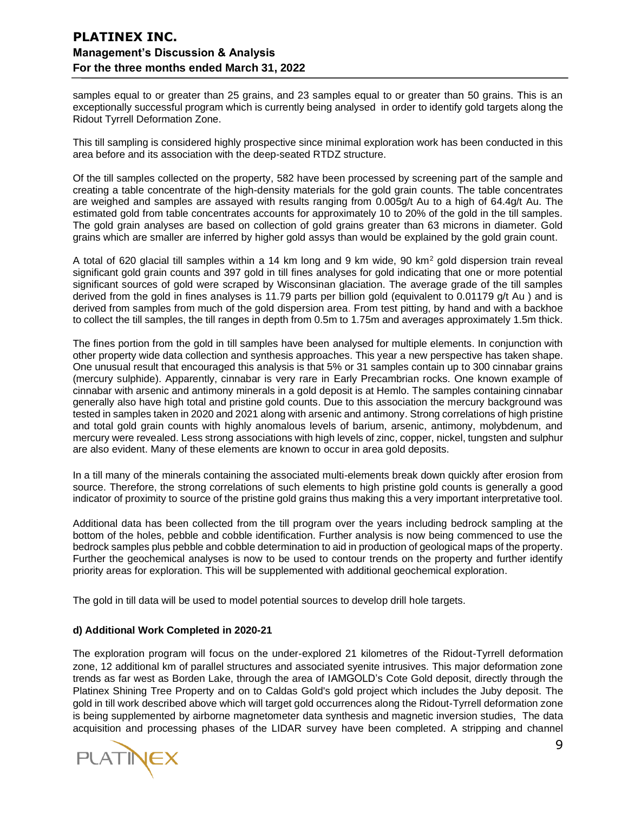samples equal to or greater than 25 grains, and 23 samples equal to or greater than 50 grains. This is an exceptionally successful program which is currently being analysed in order to identify gold targets along the Ridout Tyrrell Deformation Zone.

This till sampling is considered highly prospective since minimal exploration work has been conducted in this area before and its association with the deep-seated RTDZ structure.

Of the till samples collected on the property, 582 have been processed by screening part of the sample and creating a table concentrate of the high-density materials for the gold grain counts. The table concentrates are weighed and samples are assayed with results ranging from 0.005g/t Au to a high of 64.4g/t Au. The estimated gold from table concentrates accounts for approximately 10 to 20% of the gold in the till samples. The gold grain analyses are based on collection of gold grains greater than 63 microns in diameter. Gold grains which are smaller are inferred by higher gold assys than would be explained by the gold grain count.

A total of 620 glacial till samples within a 14 km long and 9 km wide, 90 km<sup>2</sup> gold dispersion train reveal significant gold grain counts and 397 gold in till fines analyses for gold indicating that one or more potential significant sources of gold were scraped by Wisconsinan glaciation. The average grade of the till samples derived from the gold in fines analyses is 11.79 parts per billion gold (equivalent to 0.01179 g/t Au) and is derived from samples from much of the gold dispersion area. From test pitting, by hand and with a backhoe to collect the till samples, the till ranges in depth from 0.5m to 1.75m and averages approximately 1.5m thick.

The fines portion from the gold in till samples have been analysed for multiple elements. In conjunction with other property wide data collection and synthesis approaches. This year a new perspective has taken shape. One unusual result that encouraged this analysis is that 5% or 31 samples contain up to 300 cinnabar grains (mercury sulphide). Apparently, cinnabar is very rare in Early Precambrian rocks. One known example of cinnabar with arsenic and antimony minerals in a gold deposit is at Hemlo. The samples containing cinnabar generally also have high total and pristine gold counts. Due to this association the mercury background was tested in samples taken in 2020 and 2021 along with arsenic and antimony. Strong correlations of high pristine and total gold grain counts with highly anomalous levels of barium, arsenic, antimony, molybdenum, and mercury were revealed. Less strong associations with high levels of zinc, copper, nickel, tungsten and sulphur are also evident. Many of these elements are known to occur in area gold deposits.

In a till many of the minerals containing the associated multi-elements break down quickly after erosion from source. Therefore, the strong correlations of such elements to high pristine gold counts is generally a good indicator of proximity to source of the pristine gold grains thus making this a very important interpretative tool.

Additional data has been collected from the till program over the years including bedrock sampling at the bottom of the holes, pebble and cobble identification. Further analysis is now being commenced to use the bedrock samples plus pebble and cobble determination to aid in production of geological maps of the property. Further the geochemical analyses is now to be used to contour trends on the property and further identify priority areas for exploration. This will be supplemented with additional geochemical exploration.

The gold in till data will be used to model potential sources to develop drill hole targets.

#### **d) Additional Work Completed in 2020-21**

The exploration program will focus on the under-explored 21 kilometres of the Ridout-Tyrrell deformation zone, 12 additional km of parallel structures and associated syenite intrusives. This major deformation zone trends as far west as Borden Lake, through the area of IAMGOLD's Cote Gold deposit, directly through the Platinex Shining Tree Property and on to Caldas Gold's gold project which includes the Juby deposit. The gold in till work described above which will target gold occurrences along the Ridout-Tyrrell deformation zone is being supplemented by airborne magnetometer data synthesis and magnetic inversion studies, The data acquisition and processing phases of the LIDAR survey have been completed. A stripping and channel

**PLATINEX**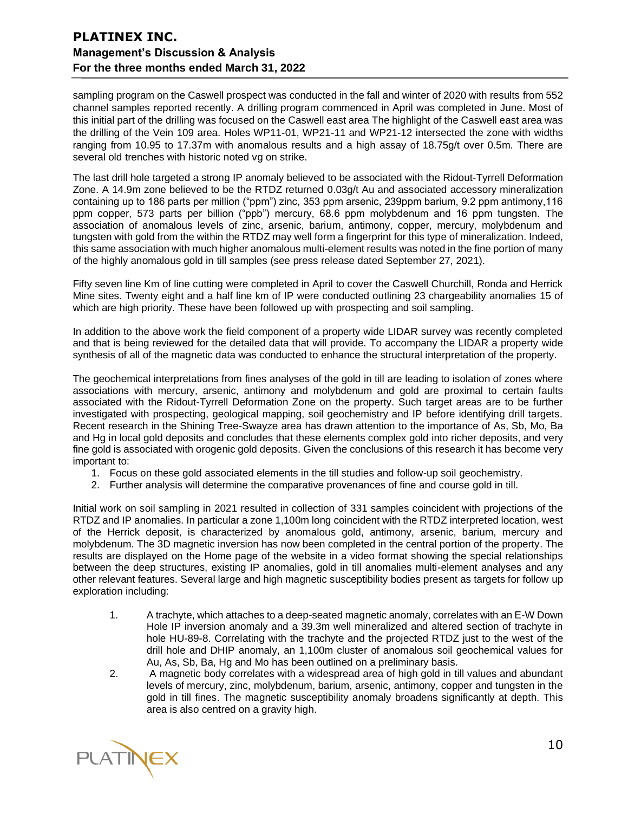sampling program on the Caswell prospect was conducted in the fall and winter of 2020 with results from 552 channel samples reported recently. A drilling program commenced in April was completed in June. Most of this initial part of the drilling was focused on the Caswell east area The highlight of the Caswell east area was the drilling of the Vein 109 area. Holes WP11-01, WP21-11 and WP21-12 intersected the zone with widths ranging from 10.95 to 17.37m with anomalous results and a high assay of 18.75g/t over 0.5m. There are several old trenches with historic noted vg on strike.

The last drill hole targeted a strong IP anomaly believed to be associated with the Ridout-Tyrrell Deformation Zone. A 14.9m zone believed to be the RTDZ returned 0.03g/t Au and associated accessory mineralization containing up to 186 parts per million ("ppm") zinc, 353 ppm arsenic, 239ppm barium, 9.2 ppm antimony,116 ppm copper, 573 parts per billion ("ppb") mercury, 68.6 ppm molybdenum and 16 ppm tungsten. The association of anomalous levels of zinc, arsenic, barium, antimony, copper, mercury, molybdenum and tungsten with gold from the within the RTDZ may well form a fingerprint for this type of mineralization. Indeed, this same association with much higher anomalous multi-element results was noted in the fine portion of many of the highly anomalous gold in till samples (see press release dated September 27, 2021).

Fifty seven line Km of line cutting were completed in April to cover the Caswell Churchill, Ronda and Herrick Mine sites. Twenty eight and a half line km of IP were conducted outlining 23 chargeability anomalies 15 of which are high priority. These have been followed up with prospecting and soil sampling.

In addition to the above work the field component of a property wide LIDAR survey was recently completed and that is being reviewed for the detailed data that will provide. To accompany the LIDAR a property wide synthesis of all of the magnetic data was conducted to enhance the structural interpretation of the property.

The geochemical interpretations from fines analyses of the gold in till are leading to isolation of zones where associations with mercury, arsenic, antimony and molybdenum and gold are proximal to certain faults associated with the Ridout-Tyrrell Deformation Zone on the property. Such target areas are to be further investigated with prospecting, geological mapping, soil geochemistry and IP before identifying drill targets. Recent research in the Shining Tree-Swayze area has drawn attention to the importance of As, Sb, Mo, Ba and Hg in local gold deposits and concludes that these elements complex gold into richer deposits, and very fine gold is associated with orogenic gold deposits. Given the conclusions of this research it has become very important to:

- 1. Focus on these gold associated elements in the till studies and follow-up soil geochemistry.
- 2. Further analysis will determine the comparative provenances of fine and course gold in till.

Initial work on soil sampling in 2021 resulted in collection of 331 samples coincident with projections of the RTDZ and IP anomalies. In particular a zone 1,100m long coincident with the RTDZ interpreted location, west of the Herrick deposit, is characterized by anomalous gold, antimony, arsenic, barium, mercury and molybdenum. The 3D magnetic inversion has now been completed in the central portion of the property. The results are displayed on the Home page of the website in a video format showing the special relationships between the deep structures, existing IP anomalies, gold in till anomalies multi-element analyses and any other relevant features. Several large and high magnetic susceptibility bodies present as targets for follow up exploration including:

- 1. A trachyte, which attaches to a deep-seated magnetic anomaly, correlates with an E-W Down Hole IP inversion anomaly and a 39.3m well mineralized and altered section of trachyte in hole HU-89-8. Correlating with the trachyte and the projected RTDZ just to the west of the drill hole and DHIP anomaly, an 1,100m cluster of anomalous soil geochemical values for Au, As, Sb, Ba, Hg and Mo has been outlined on a preliminary basis.
- 2. A magnetic body correlates with a widespread area of high gold in till values and abundant levels of mercury, zinc, molybdenum, barium, arsenic, antimony, copper and tungsten in the gold in till fines. The magnetic susceptibility anomaly broadens significantly at depth. This area is also centred on a gravity high.

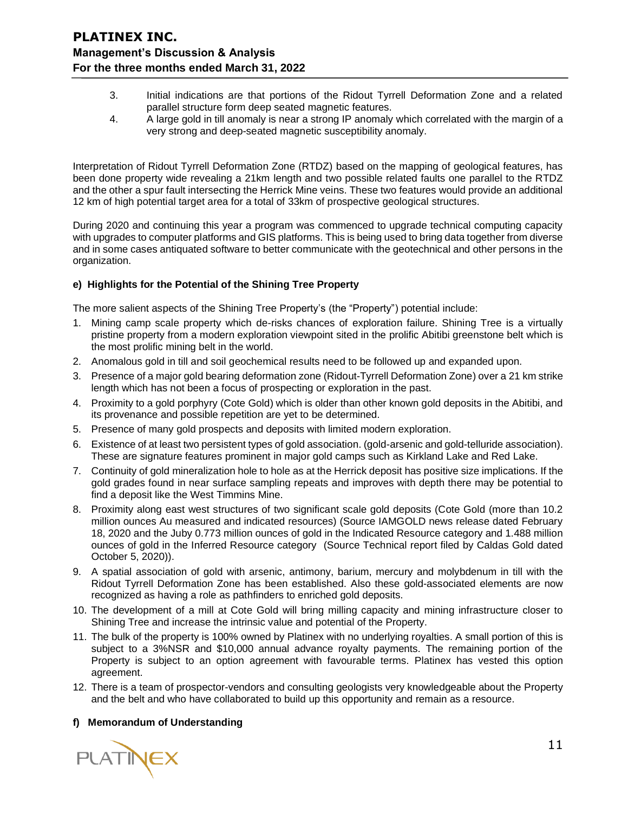- 3. Initial indications are that portions of the Ridout Tyrrell Deformation Zone and a related parallel structure form deep seated magnetic features.
- 4. A large gold in till anomaly is near a strong IP anomaly which correlated with the margin of a very strong and deep-seated magnetic susceptibility anomaly.

Interpretation of Ridout Tyrrell Deformation Zone (RTDZ) based on the mapping of geological features, has been done property wide revealing a 21km length and two possible related faults one parallel to the RTDZ and the other a spur fault intersecting the Herrick Mine veins. These two features would provide an additional 12 km of high potential target area for a total of 33km of prospective geological structures.

During 2020 and continuing this year a program was commenced to upgrade technical computing capacity with upgrades to computer platforms and GIS platforms. This is being used to bring data together from diverse and in some cases antiquated software to better communicate with the geotechnical and other persons in the organization.

### **e) Highlights for the Potential of the Shining Tree Property**

The more salient aspects of the Shining Tree Property's (the "Property") potential include:

- 1. Mining camp scale property which de-risks chances of exploration failure. Shining Tree is a virtually pristine property from a modern exploration viewpoint sited in the prolific Abitibi greenstone belt which is the most prolific mining belt in the world.
- 2. Anomalous gold in till and soil geochemical results need to be followed up and expanded upon.
- 3. Presence of a major gold bearing deformation zone (Ridout-Tyrrell Deformation Zone) over a 21 km strike length which has not been a focus of prospecting or exploration in the past.
- 4. Proximity to a gold porphyry (Cote Gold) which is older than other known gold deposits in the Abitibi, and its provenance and possible repetition are yet to be determined.
- 5. Presence of many gold prospects and deposits with limited modern exploration.
- 6. Existence of at least two persistent types of gold association. (gold-arsenic and gold-telluride association). These are signature features prominent in major gold camps such as Kirkland Lake and Red Lake.
- 7. Continuity of gold mineralization hole to hole as at the Herrick deposit has positive size implications. If the gold grades found in near surface sampling repeats and improves with depth there may be potential to find a deposit like the West Timmins Mine.
- 8. Proximity along east west structures of two significant scale gold deposits (Cote Gold (more than 10.2 million ounces Au measured and indicated resources) (Source IAMGOLD news release dated February 18, 2020 and the Juby 0.773 million ounces of gold in the Indicated Resource category and 1.488 million ounces of gold in the Inferred Resource category (Source Technical report filed by Caldas Gold dated October 5, 2020)).
- 9. A spatial association of gold with arsenic, antimony, barium, mercury and molybdenum in till with the Ridout Tyrrell Deformation Zone has been established. Also these gold-associated elements are now recognized as having a role as pathfinders to enriched gold deposits.
- 10. The development of a mill at Cote Gold will bring milling capacity and mining infrastructure closer to Shining Tree and increase the intrinsic value and potential of the Property.
- 11. The bulk of the property is 100% owned by Platinex with no underlying royalties. A small portion of this is subject to a 3%NSR and \$10,000 annual advance royalty payments. The remaining portion of the Property is subject to an option agreement with favourable terms. Platinex has vested this option agreement.
- 12. There is a team of prospector-vendors and consulting geologists very knowledgeable about the Property and the belt and who have collaborated to build up this opportunity and remain as a resource.

### **f) Memorandum of Understanding**

PLATINEX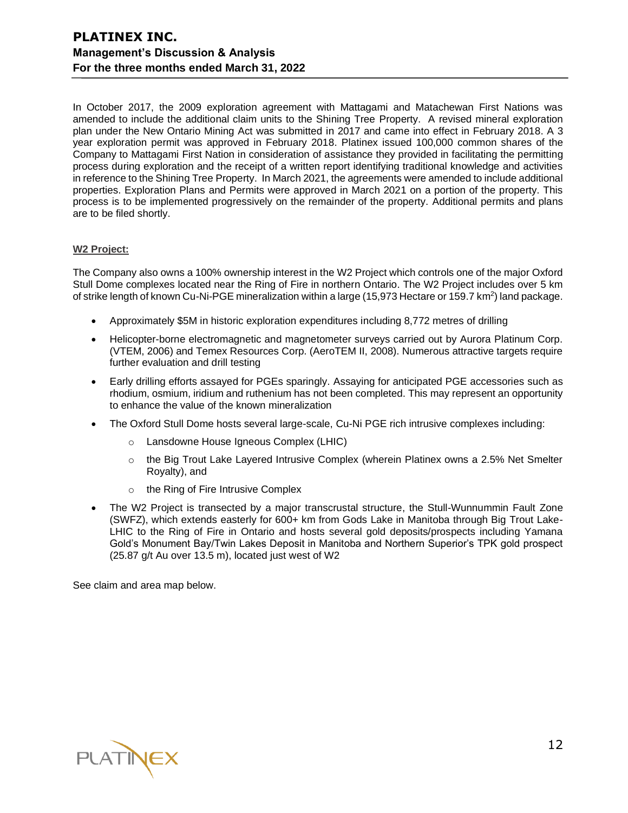In October 2017, the 2009 exploration agreement with Mattagami and Matachewan First Nations was amended to include the additional claim units to the Shining Tree Property. A revised mineral exploration plan under the New Ontario Mining Act was submitted in 2017 and came into effect in February 2018. A 3 year exploration permit was approved in February 2018. Platinex issued 100,000 common shares of the Company to Mattagami First Nation in consideration of assistance they provided in facilitating the permitting process during exploration and the receipt of a written report identifying traditional knowledge and activities in reference to the Shining Tree Property. In March 2021, the agreements were amended to include additional properties. Exploration Plans and Permits were approved in March 2021 on a portion of the property. This process is to be implemented progressively on the remainder of the property. Additional permits and plans are to be filed shortly.

#### **W2 Project:**

The Company also owns a 100% ownership interest in the W2 Project which controls one of the major Oxford Stull Dome complexes located near the Ring of Fire in northern Ontario. The W2 Project includes over 5 km of strike length of known Cu-Ni-PGE mineralization within a large (15,973 Hectare or 159.7 km<sup>2</sup>) land package.

- Approximately \$5M in historic exploration expenditures including 8,772 metres of drilling
- Helicopter-borne electromagnetic and magnetometer surveys carried out by Aurora Platinum Corp. (VTEM, 2006) and Temex Resources Corp. (AeroTEM II, 2008). Numerous attractive targets require further evaluation and drill testing
- Early drilling efforts assayed for PGEs sparingly. Assaying for anticipated PGE accessories such as rhodium, osmium, iridium and ruthenium has not been completed. This may represent an opportunity to enhance the value of the known mineralization
- The Oxford Stull Dome hosts several large-scale, Cu-Ni PGE rich intrusive complexes including:
	- o Lansdowne House Igneous Complex (LHIC)
	- $\circ$  the Big Trout Lake Layered Intrusive Complex (wherein Platinex owns a 2.5% Net Smelter Royalty), and
	- o the Ring of Fire Intrusive Complex
- The W2 Project is transected by a major transcrustal structure, the Stull-Wunnummin Fault Zone (SWFZ), which extends easterly for 600+ km from Gods Lake in Manitoba through Big Trout Lake-LHIC to the Ring of Fire in Ontario and hosts several gold deposits/prospects including Yamana Gold's Monument Bay/Twin Lakes Deposit in Manitoba and Northern Superior's TPK gold prospect (25.87 g/t Au over 13.5 m), located just west of W2

See claim and area map below.

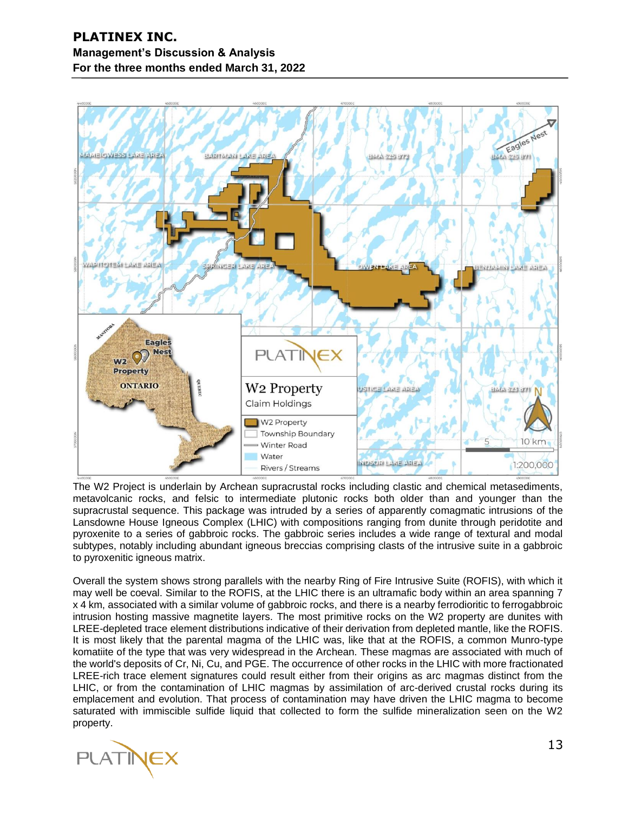

The W2 Project is underlain by Archean supracrustal rocks including clastic and chemical metasediments, metavolcanic rocks, and felsic to intermediate plutonic rocks both older than and younger than the supracrustal sequence. This package was intruded by a series of apparently comagmatic intrusions of the Lansdowne House Igneous Complex (LHIC) with compositions ranging from dunite through peridotite and pyroxenite to a series of gabbroic rocks. The gabbroic series includes a wide range of textural and modal subtypes, notably including abundant igneous breccias comprising clasts of the intrusive suite in a gabbroic to pyroxenitic igneous matrix.

Overall the system shows strong parallels with the nearby Ring of Fire Intrusive Suite (ROFIS), with which it may well be coeval. Similar to the ROFIS, at the LHIC there is an ultramafic body within an area spanning 7 x 4 km, associated with a similar volume of gabbroic rocks, and there is a nearby ferrodioritic to ferrogabbroic intrusion hosting massive magnetite layers. The most primitive rocks on the W2 property are dunites with LREE-depleted trace element distributions indicative of their derivation from depleted mantle, like the ROFIS. It is most likely that the parental magma of the LHIC was, like that at the ROFIS, a common Munro-type komatiite of the type that was very widespread in the Archean. These magmas are associated with much of the world's deposits of Cr, Ni, Cu, and PGE. The occurrence of other rocks in the LHIC with more fractionated LREE-rich trace element signatures could result either from their origins as arc magmas distinct from the LHIC, or from the contamination of LHIC magmas by assimilation of arc-derived crustal rocks during its emplacement and evolution. That process of contamination may have driven the LHIC magma to become saturated with immiscible sulfide liquid that collected to form the sulfide mineralization seen on the W2 property.

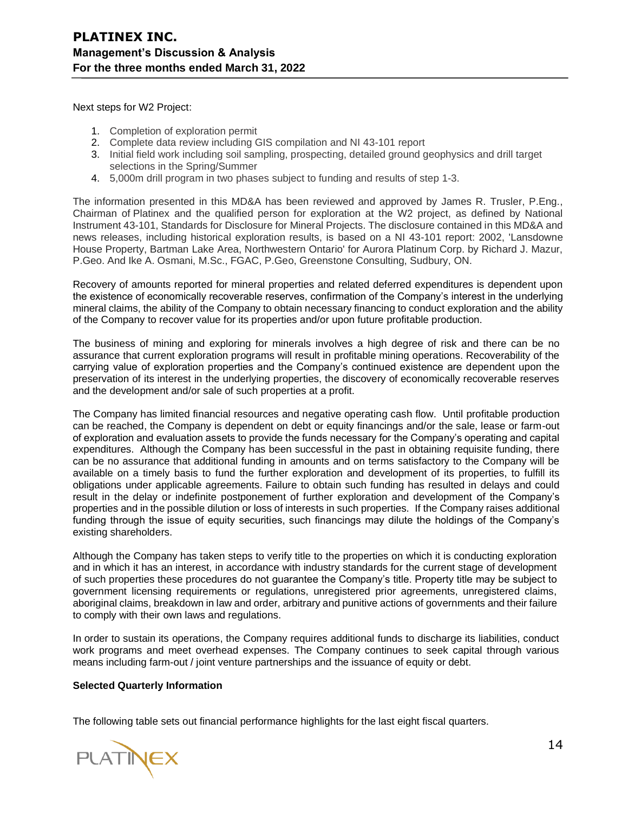Next steps for W2 Project:

- 1. Completion of exploration permit
- 2. Complete data review including GIS compilation and NI 43-101 report
- 3. Initial field work including soil sampling, prospecting, detailed ground geophysics and drill target selections in the Spring/Summer
- 4. 5,000m drill program in two phases subject to funding and results of step 1-3.

The information presented in this MD&A has been reviewed and approved by James R. Trusler, P.Eng., Chairman of Platinex and the qualified person for exploration at the W2 project, as defined by National Instrument 43-101, Standards for Disclosure for Mineral Projects. The disclosure contained in this MD&A and news releases, including historical exploration results, is based on a NI 43-101 report: 2002, 'Lansdowne House Property, Bartman Lake Area, Northwestern Ontario' for Aurora Platinum Corp. by Richard J. Mazur, P.Geo. And Ike A. Osmani, M.Sc., FGAC, P.Geo, Greenstone Consulting, Sudbury, ON.

Recovery of amounts reported for mineral properties and related deferred expenditures is dependent upon the existence of economically recoverable reserves, confirmation of the Company's interest in the underlying mineral claims, the ability of the Company to obtain necessary financing to conduct exploration and the ability of the Company to recover value for its properties and/or upon future profitable production.

The business of mining and exploring for minerals involves a high degree of risk and there can be no assurance that current exploration programs will result in profitable mining operations. Recoverability of the carrying value of exploration properties and the Company's continued existence are dependent upon the preservation of its interest in the underlying properties, the discovery of economically recoverable reserves and the development and/or sale of such properties at a profit.

The Company has limited financial resources and negative operating cash flow. Until profitable production can be reached, the Company is dependent on debt or equity financings and/or the sale, lease or farm-out of exploration and evaluation assets to provide the funds necessary for the Company's operating and capital expenditures. Although the Company has been successful in the past in obtaining requisite funding, there can be no assurance that additional funding in amounts and on terms satisfactory to the Company will be available on a timely basis to fund the further exploration and development of its properties, to fulfill its obligations under applicable agreements. Failure to obtain such funding has resulted in delays and could result in the delay or indefinite postponement of further exploration and development of the Company's properties and in the possible dilution or loss of interests in such properties. If the Company raises additional funding through the issue of equity securities, such financings may dilute the holdings of the Company's existing shareholders.

Although the Company has taken steps to verify title to the properties on which it is conducting exploration and in which it has an interest, in accordance with industry standards for the current stage of development of such properties these procedures do not guarantee the Company's title. Property title may be subject to government licensing requirements or regulations, unregistered prior agreements, unregistered claims, aboriginal claims, breakdown in law and order, arbitrary and punitive actions of governments and their failure to comply with their own laws and regulations.

In order to sustain its operations, the Company requires additional funds to discharge its liabilities, conduct work programs and meet overhead expenses. The Company continues to seek capital through various means including farm-out / joint venture partnerships and the issuance of equity or debt.

#### **Selected Quarterly Information**

The following table sets out financial performance highlights for the last eight fiscal quarters.

**PLATINEX**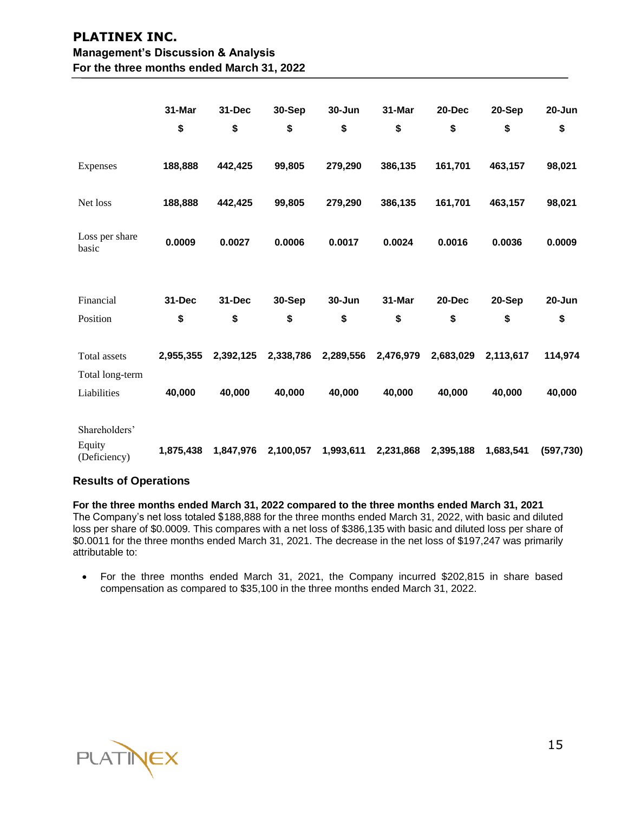|                                                | 31-Mar<br>\$        | 31-Dec<br>\$        | 30-Sep<br>\$        | 30-Jun<br>\$        | 31-Mar<br>\$        | 20-Dec<br>\$        | 20-Sep<br>\$        | 20-Jun<br>\$      |
|------------------------------------------------|---------------------|---------------------|---------------------|---------------------|---------------------|---------------------|---------------------|-------------------|
| Expenses                                       | 188,888             | 442,425             | 99,805              | 279,290             | 386,135             | 161,701             | 463,157             | 98,021            |
| Net loss                                       | 188,888             | 442,425             | 99,805              | 279,290             | 386,135             | 161,701             | 463,157             | 98,021            |
| Loss per share<br>basic                        | 0.0009              | 0.0027              | 0.0006              | 0.0017              | 0.0024              | 0.0016              | 0.0036              | 0.0009            |
| Financial<br>Position                          | 31-Dec<br>\$        | 31-Dec<br>\$        | 30-Sep<br>\$        | $30 - Jun$<br>\$    | 31-Mar<br>\$        | 20-Dec<br>\$        | 20-Sep<br>\$        | $20 - Jun$<br>\$  |
| Total assets<br>Total long-term<br>Liabilities | 2,955,355<br>40,000 | 2,392,125<br>40,000 | 2,338,786<br>40,000 | 2,289,556<br>40,000 | 2,476,979<br>40,000 | 2,683,029<br>40,000 | 2,113,617<br>40,000 | 114,974<br>40,000 |
| Shareholders'<br>Equity<br>(Deficiency)        | 1,875,438           | 1,847,976           | 2,100,057           | 1,993,611           | 2,231,868           | 2,395,188           | 1,683,541           | (597, 730)        |

### **Results of Operations**

**For the three months ended March 31, 2022 compared to the three months ended March 31, 2021** The Company's net loss totaled \$188,888 for the three months ended March 31, 2022, with basic and diluted loss per share of \$0.0009. This compares with a net loss of \$386,135 with basic and diluted loss per share of \$0.0011 for the three months ended March 31, 2021. The decrease in the net loss of \$197,247 was primarily attributable to:

• For the three months ended March 31, 2021, the Company incurred \$202,815 in share based compensation as compared to \$35,100 in the three months ended March 31, 2022.

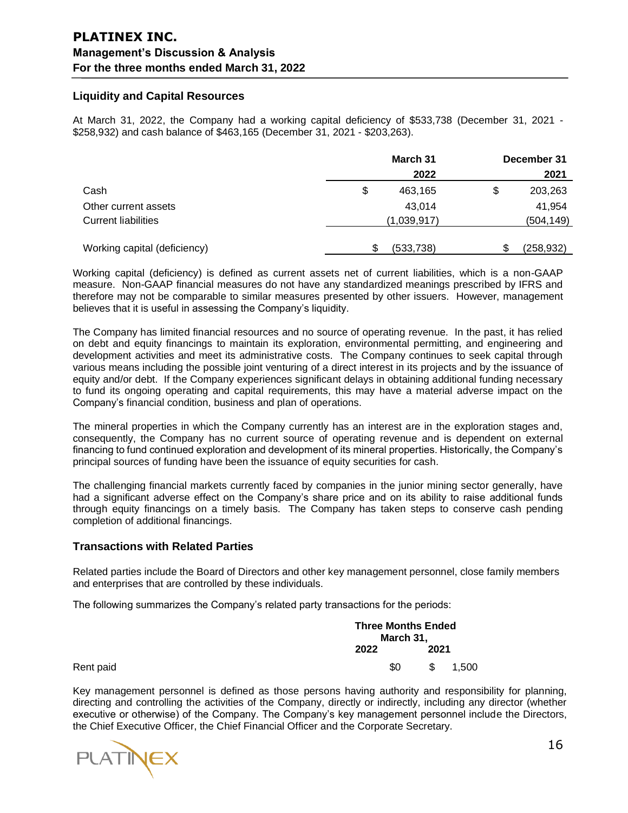### **Liquidity and Capital Resources**

At March 31, 2022, the Company had a working capital deficiency of \$533,738 (December 31, 2021 - \$258,932) and cash balance of \$463,165 (December 31, 2021 - \$203,263).

|                              | March 31      |    | December 31 |
|------------------------------|---------------|----|-------------|
|                              | 2022          |    | 2021        |
| Cash                         | \$<br>463,165 | \$ | 203,263     |
| Other current assets         | 43.014        |    | 41,954      |
| <b>Current liabilities</b>   | (1,039,917)   |    | (504, 149)  |
| Working capital (deficiency) | (533, 738)    | \$ | (258,932)   |

Working capital (deficiency) is defined as current assets net of current liabilities, which is a non-GAAP measure. Non-GAAP financial measures do not have any standardized meanings prescribed by IFRS and therefore may not be comparable to similar measures presented by other issuers. However, management believes that it is useful in assessing the Company's liquidity.

The Company has limited financial resources and no source of operating revenue. In the past, it has relied on debt and equity financings to maintain its exploration, environmental permitting, and engineering and development activities and meet its administrative costs. The Company continues to seek capital through various means including the possible joint venturing of a direct interest in its projects and by the issuance of equity and/or debt. If the Company experiences significant delays in obtaining additional funding necessary to fund its ongoing operating and capital requirements, this may have a material adverse impact on the Company's financial condition, business and plan of operations.

The mineral properties in which the Company currently has an interest are in the exploration stages and, consequently, the Company has no current source of operating revenue and is dependent on external financing to fund continued exploration and development of its mineral properties. Historically, the Company's principal sources of funding have been the issuance of equity securities for cash.

The challenging financial markets currently faced by companies in the junior mining sector generally, have had a significant adverse effect on the Company's share price and on its ability to raise additional funds through equity financings on a timely basis. The Company has taken steps to conserve cash pending completion of additional financings.

### **Transactions with Related Parties**

Related parties include the Board of Directors and other key management personnel, close family members and enterprises that are controlled by these individuals.

The following summarizes the Company's related party transactions for the periods:

|           |      | <b>Three Months Ended</b><br>March 31, |       |  |  |
|-----------|------|----------------------------------------|-------|--|--|
|           | 2022 | 2021                                   |       |  |  |
| Rent paid | \$0  | \$.                                    | 1.500 |  |  |

Key management personnel is defined as those persons having authority and responsibility for planning, directing and controlling the activities of the Company, directly or indirectly, including any director (whether executive or otherwise) of the Company. The Company's key management personnel include the Directors, the Chief Executive Officer, the Chief Financial Officer and the Corporate Secretary.

**PLATINEX**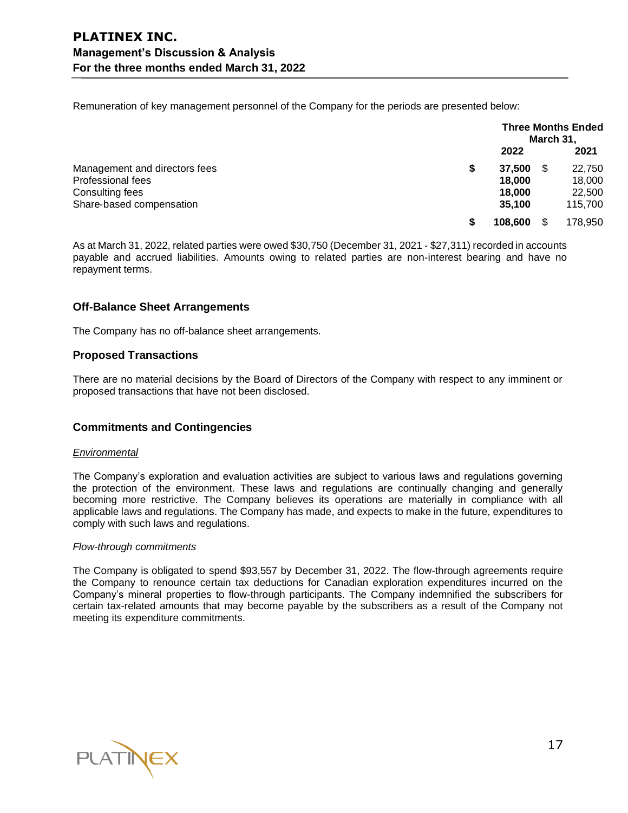Remuneration of key management personnel of the Company for the periods are presented below:

|                               |   | <b>Three Months Ended</b><br>March 31, |    |         |
|-------------------------------|---|----------------------------------------|----|---------|
|                               |   | 2022                                   |    | 2021    |
| Management and directors fees | S | 37.500                                 | S  | 22,750  |
| Professional fees             |   | 18,000                                 |    | 18,000  |
| Consulting fees               |   | 18,000                                 |    | 22,500  |
| Share-based compensation      |   | 35.100                                 |    | 115,700 |
|                               | S | 108,600                                | \$ | 178.950 |

As at March 31, 2022, related parties were owed \$30,750 (December 31, 2021 ‑ \$27,311) recorded in accounts payable and accrued liabilities. Amounts owing to related parties are non‑interest bearing and have no repayment terms.

### **Off-Balance Sheet Arrangements**

The Company has no off-balance sheet arrangements.

### **Proposed Transactions**

There are no material decisions by the Board of Directors of the Company with respect to any imminent or proposed transactions that have not been disclosed.

### **Commitments and Contingencies**

#### *Environmental*

The Company's exploration and evaluation activities are subject to various laws and regulations governing the protection of the environment. These laws and regulations are continually changing and generally becoming more restrictive. The Company believes its operations are materially in compliance with all applicable laws and regulations. The Company has made, and expects to make in the future, expenditures to comply with such laws and regulations.

#### *Flow-through commitments*

The Company is obligated to spend \$93,557 by December 31, 2022. The flow-through agreements require the Company to renounce certain tax deductions for Canadian exploration expenditures incurred on the Company's mineral properties to flow-through participants. The Company indemnified the subscribers for certain tax-related amounts that may become payable by the subscribers as a result of the Company not meeting its expenditure commitments.

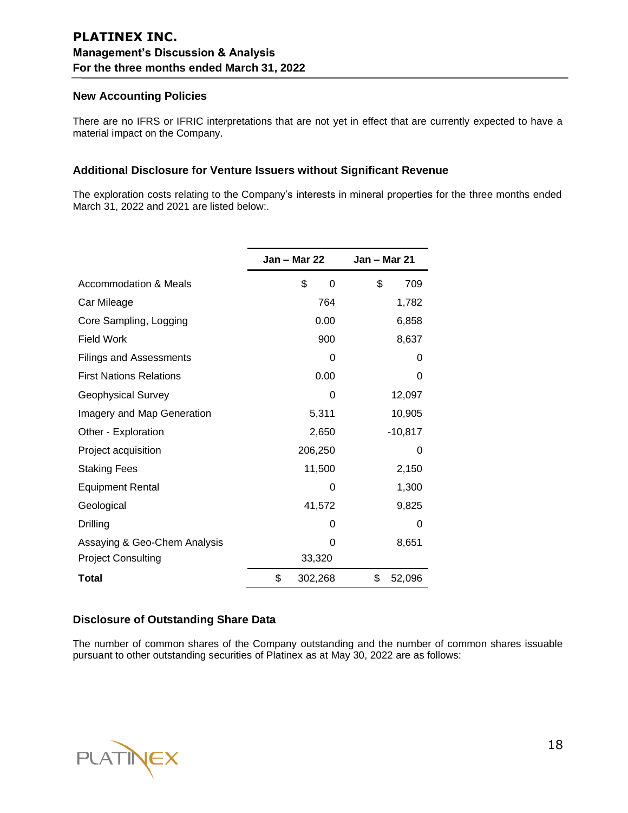### **New Accounting Policies**

There are no IFRS or IFRIC interpretations that are not yet in effect that are currently expected to have a material impact on the Company.

### **Additional Disclosure for Venture Issuers without Significant Revenue**

The exploration costs relating to the Company's interests in mineral properties for the three months ended March 31, 2022 and 2021 are listed below:.

|                                | <b>Jan – Mar 22</b> | <b>Jan – Mar 21</b> |
|--------------------------------|---------------------|---------------------|
| Accommodation & Meals          | \$<br>0             | \$<br>709           |
| Car Mileage                    | 764                 | 1,782               |
| Core Sampling, Logging         | 0.00                | 6,858               |
| <b>Field Work</b>              | 900                 | 8,637               |
| <b>Filings and Assessments</b> | 0                   | 0                   |
| <b>First Nations Relations</b> | 0.00                | 0                   |
| <b>Geophysical Survey</b>      | 0                   | 12,097              |
| Imagery and Map Generation     | 5,311               | 10,905              |
| Other - Exploration            | 2,650               | $-10,817$           |
| Project acquisition            | 206,250             | 0                   |
| <b>Staking Fees</b>            | 11,500              | 2,150               |
| <b>Equipment Rental</b>        | 0                   | 1,300               |
| Geological                     | 41,572              | 9,825               |
| Drilling                       | 0                   | 0                   |
| Assaying & Geo-Chem Analysis   | 0                   | 8,651               |
| <b>Project Consulting</b>      | 33,320              |                     |
| Total                          | \$<br>302,268       | \$<br>52,096        |

### **Disclosure of Outstanding Share Data**

The number of common shares of the Company outstanding and the number of common shares issuable pursuant to other outstanding securities of Platinex as at May 30, 2022 are as follows: